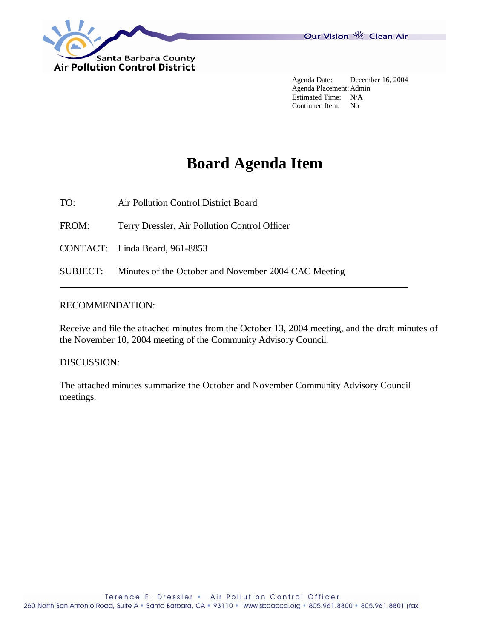

 Agenda Date: December 16, 2004 Agenda Placement: Admin Estimated Time: N/A Continued Item: No

# **Board Agenda Item**

TO: Air Pollution Control District Board

FROM: Terry Dressler, Air Pollution Control Officer

CONTACT: Linda Beard, 961-8853

SUBJECT: Minutes of the October and November 2004 CAC Meeting

# RECOMMENDATION:

Receive and file the attached minutes from the October 13, 2004 meeting, and the draft minutes of the November 10, 2004 meeting of the Community Advisory Council.

## DISCUSSION:

The attached minutes summarize the October and November Community Advisory Council meetings.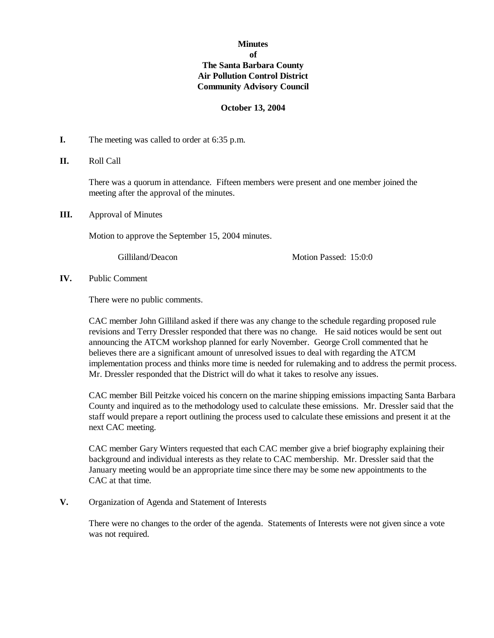# **Minutes of The Santa Barbara County Air Pollution Control District Community Advisory Council**

#### **October 13, 2004**

- **I.** The meeting was called to order at 6:35 p.m.
- **II.** Roll Call

There was a quorum in attendance. Fifteen members were present and one member joined the meeting after the approval of the minutes.

**III.** Approval of Minutes

Motion to approve the September 15, 2004 minutes.

Gilliland/Deacon Motion Passed: 15:0:0

**IV.** Public Comment

There were no public comments.

CAC member John Gilliland asked if there was any change to the schedule regarding proposed rule revisions and Terry Dressler responded that there was no change. He said notices would be sent out announcing the ATCM workshop planned for early November. George Croll commented that he believes there are a significant amount of unresolved issues to deal with regarding the ATCM implementation process and thinks more time is needed for rulemaking and to address the permit process. Mr. Dressler responded that the District will do what it takes to resolve any issues.

CAC member Bill Peitzke voiced his concern on the marine shipping emissions impacting Santa Barbara County and inquired as to the methodology used to calculate these emissions. Mr. Dressler said that the staff would prepare a report outlining the process used to calculate these emissions and present it at the next CAC meeting.

CAC member Gary Winters requested that each CAC member give a brief biography explaining their background and individual interests as they relate to CAC membership. Mr. Dressler said that the January meeting would be an appropriate time since there may be some new appointments to the CAC at that time.

**V.** Organization of Agenda and Statement of Interests

There were no changes to the order of the agenda. Statements of Interests were not given since a vote was not required.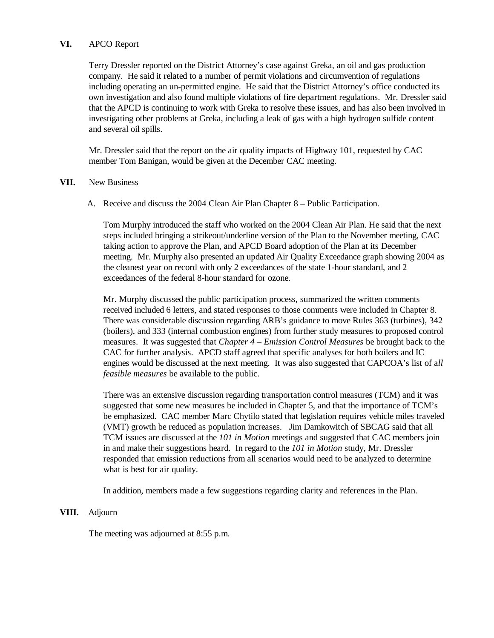## **VI.** APCO Report

Terry Dressler reported on the District Attorney's case against Greka, an oil and gas production company. He said it related to a number of permit violations and circumvention of regulations including operating an un-permitted engine. He said that the District Attorney's office conducted its own investigation and also found multiple violations of fire department regulations. Mr. Dressler said that the APCD is continuing to work with Greka to resolve these issues, and has also been involved in investigating other problems at Greka, including a leak of gas with a high hydrogen sulfide content and several oil spills.

Mr. Dressler said that the report on the air quality impacts of Highway 101, requested by CAC member Tom Banigan, would be given at the December CAC meeting.

#### **VII.** New Business

A. Receive and discuss the 2004 Clean Air Plan Chapter 8 – Public Participation.

Tom Murphy introduced the staff who worked on the 2004 Clean Air Plan. He said that the next steps included bringing a strikeout/underline version of the Plan to the November meeting, CAC taking action to approve the Plan, and APCD Board adoption of the Plan at its December meeting. Mr. Murphy also presented an updated Air Quality Exceedance graph showing 2004 as the cleanest year on record with only 2 exceedances of the state 1-hour standard, and 2 exceedances of the federal 8-hour standard for ozone.

 Mr. Murphy discussed the public participation process, summarized the written comments received included 6 letters, and stated responses to those comments were included in Chapter 8. There was considerable discussion regarding ARB's guidance to move Rules 363 (turbines), 342 (boilers), and 333 (internal combustion engines) from further study measures to proposed control measures. It was suggested that *Chapter 4 – Emission Control Measures* be brought back to the CAC for further analysis. APCD staff agreed that specific analyses for both boilers and IC engines would be discussed at the next meeting. It was also suggested that CAPCOA's list of a*ll feasible measures* be available to the public.

 There was an extensive discussion regarding transportation control measures (TCM) and it was suggested that some new measures be included in Chapter 5, and that the importance of TCM's be emphasized. CAC member Marc Chytilo stated that legislation requires vehicle miles traveled (VMT) growth be reduced as population increases. Jim Damkowitch of SBCAG said that all TCM issues are discussed at the *101 in Motion* meetings and suggested that CAC members join in and make their suggestions heard. In regard to the *101 in Motion* study, Mr. Dressler responded that emission reductions from all scenarios would need to be analyzed to determine what is best for air quality.

In addition, members made a few suggestions regarding clarity and references in the Plan.

## **VIII.** Adjourn

The meeting was adjourned at 8:55 p.m.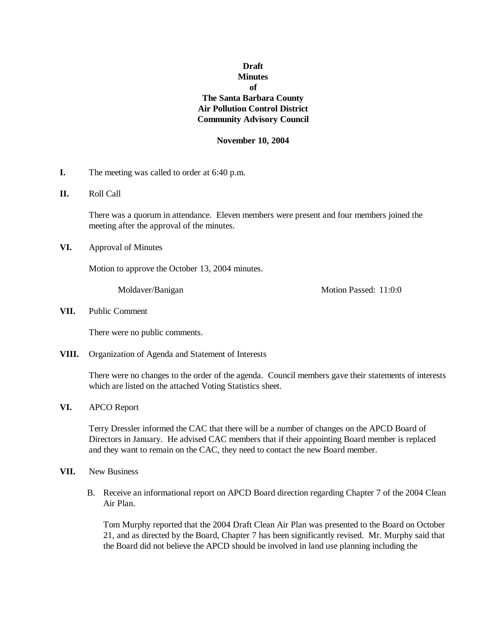# **Draft Minutes of The Santa Barbara County Air Pollution Control District Community Advisory Council**

#### **November 10, 2004**

- **I.** The meeting was called to order at 6:40 p.m.
- **II.** Roll Call

There was a quorum in attendance. Eleven members were present and four members joined the meeting after the approval of the minutes.

**VI.** Approval of Minutes

Motion to approve the October 13, 2004 minutes.

Moldaver/Banigan Motion Passed: 11:0:0

## **VII.** Public Comment

There were no public comments.

**VIII.** Organization of Agenda and Statement of Interests

There were no changes to the order of the agenda. Council members gave their statements of interests which are listed on the attached Voting Statistics sheet.

#### **VI.** APCO Report

Terry Dressler informed the CAC that there will be a number of changes on the APCD Board of Directors in January. He advised CAC members that if their appointing Board member is replaced and they want to remain on the CAC, they need to contact the new Board member.

- **VII.** New Business
	- B. Receive an informational report on APCD Board direction regarding Chapter 7 of the 2004 Clean Air Plan.

Tom Murphy reported that the 2004 Draft Clean Air Plan was presented to the Board on October 21, and as directed by the Board, Chapter 7 has been significantly revised. Mr. Murphy said that the Board did not believe the APCD should be involved in land use planning including the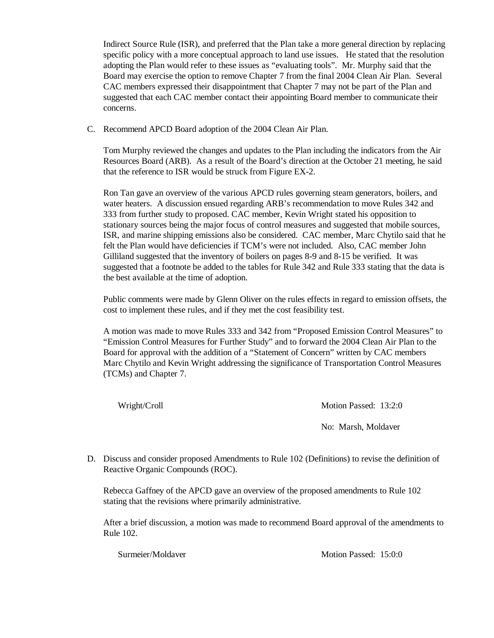Indirect Source Rule (ISR), and preferred that the Plan take a more general direction by replacing specific policy with a more conceptual approach to land use issues. He stated that the resolution adopting the Plan would refer to these issues as "evaluating tools". Mr. Murphy said that the Board may exercise the option to remove Chapter 7 from the final 2004 Clean Air Plan. Several CAC members expressed their disappointment that Chapter 7 may not be part of the Plan and suggested that each CAC member contact their appointing Board member to communicate their concerns.

C. Recommend APCD Board adoption of the 2004 Clean Air Plan.

Tom Murphy reviewed the changes and updates to the Plan including the indicators from the Air Resources Board (ARB). As a result of the Board's direction at the October 21 meeting, he said that the reference to ISR would be struck from Figure EX-2.

Ron Tan gave an overview of the various APCD rules governing steam generators, boilers, and water heaters. A discussion ensued regarding ARB's recommendation to move Rules 342 and 333 from further study to proposed. CAC member, Kevin Wright stated his opposition to stationary sources being the major focus of control measures and suggested that mobile sources, ISR, and marine shipping emissions also be considered. CAC member, Marc Chytilo said that he felt the Plan would have deficiencies if TCM's were not included. Also, CAC member John Gilliland suggested that the inventory of boilers on pages 8-9 and 8-15 be verified. It was suggested that a footnote be added to the tables for Rule 342 and Rule 333 stating that the data is the best available at the time of adoption.

Public comments were made by Glenn Oliver on the rules effects in regard to emission offsets, the cost to implement these rules, and if they met the cost feasibility test.

 A motion was made to move Rules 333 and 342 from "Proposed Emission Control Measures" to "Emission Control Measures for Further Study" and to forward the 2004 Clean Air Plan to the Board for approval with the addition of a "Statement of Concern" written by CAC members Marc Chytilo and Kevin Wright addressing the significance of Transportation Control Measures (TCMs) and Chapter 7.

Wright/Croll Motion Passed: 13:2:0

No: Marsh, Moldaver

D. Discuss and consider proposed Amendments to Rule 102 (Definitions) to revise the definition of Reactive Organic Compounds (ROC).

Rebecca Gaffney of the APCD gave an overview of the proposed amendments to Rule 102 stating that the revisions where primarily administrative.

After a brief discussion, a motion was made to recommend Board approval of the amendments to Rule 102.

Surmeier/Moldaver Motion Passed: 15:0:0